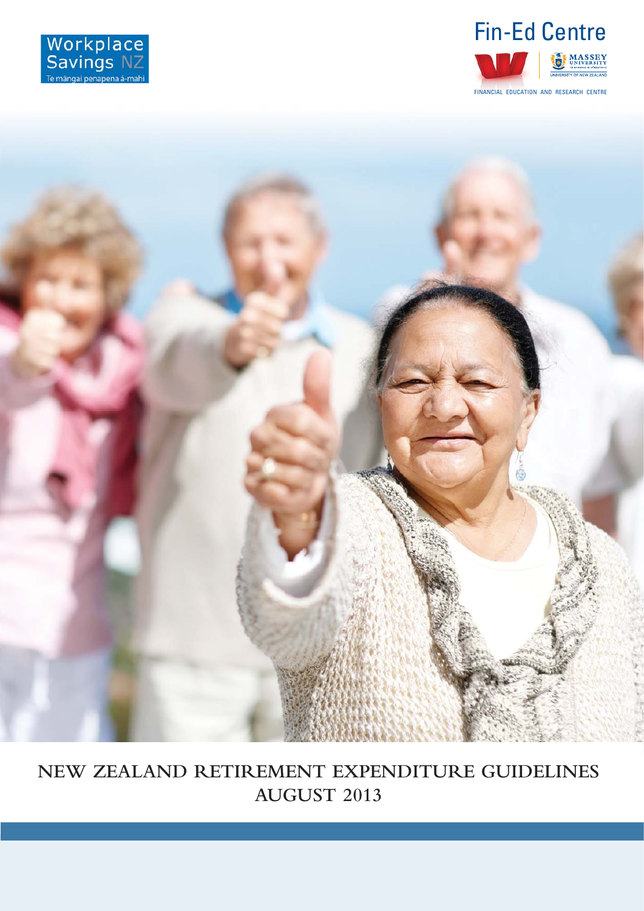





**NEW ZEALAND RETIREMENT EXPENDITURE GUIDELINES AUGUST 2013**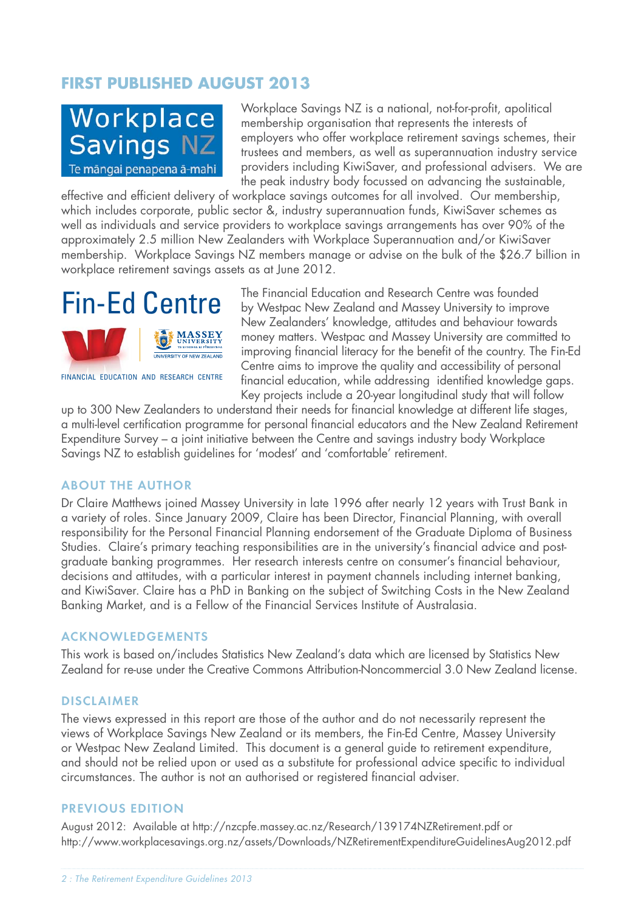## **FIRST PUBLISHED AUGUST 2013**



Workplace Savings NZ is a national, not-for-profit, apolitical membership organisation that represents the interests of employers who offer workplace retirement savings schemes, their trustees and members, as well as superannuation industry service providers including KiwiSaver, and professional advisers. We are the peak industry body focussed on advancing the sustainable,

effective and efficient delivery of workplace savings outcomes for all involved. Our membership, which includes corporate, public sector &, industry superannuation funds, KiwiSaver schemes as well as individuals and service providers to workplace savings arrangements has over 90% of the approximately 2.5 million New Zealanders with Workplace Superannuation and/or KiwiSaver membership. Workplace Savings NZ members manage or advise on the bulk of the \$26.7 billion in workplace retirement savings assets as at June 2012.



FINANCIAL EDUCATION AND RESEARCH CENTRE

The Financial Education and Research Centre was founded by Westpac New Zealand and Massey University to improve New Zealanders' knowledge, attitudes and behaviour towards money matters. Westpac and Massey University are committed to improving financial literacy for the benefit of the country. The Fin-Ed Centre aims to improve the quality and accessibility of personal financial education, while addressing identified knowledge gaps. Key projects include a 20-year longitudinal study that will follow

up to 300 New Zealanders to understand their needs for financial knowledge at different life stages, a multi-level certifi cation programme for personal fi nancial educators and the New Zealand Retirement Expenditure Survey – a joint initiative between the Centre and savings industry body Workplace Savings NZ to establish guidelines for 'modest' and 'comfortable' retirement.

### ABOUT THE AUTHOR

Dr Claire Matthews joined Massey University in late 1996 after nearly 12 years with Trust Bank in a variety of roles. Since January 2009, Claire has been Director, Financial Planning, with overall responsibility for the Personal Financial Planning endorsement of the Graduate Diploma of Business Studies. Claire's primary teaching responsibilities are in the university's financial advice and postgraduate banking programmes. Her research interests centre on consumer's financial behaviour, decisions and attitudes, with a particular interest in payment channels including internet banking, and KiwiSaver. Claire has a PhD in Banking on the subject of Switching Costs in the New Zealand Banking Market, and is a Fellow of the Financial Services Institute of Australasia.

### **ACKNOWLEDGEMENTS**

This work is based on/includes Statistics New Zealand's data which are licensed by Statistics New Zealand for re-use under the Creative Commons Attribution-Noncommercial 3.0 New Zealand license.

#### DISCLAIMER

The views expressed in this report are those of the author and do not necessarily represent the views of Workplace Savings New Zealand or its members, the Fin-Ed Centre, Massey University or Westpac New Zealand Limited. This document is a general guide to retirement expenditure, and should not be relied upon or used as a substitute for professional advice specific to individual circumstances. The author is not an authorised or registered financial adviser.

#### PREVIOUS EDITION

August 2012: Available at http://nzcpfe.massey.ac.nz/Research/139174NZRetirement.pdf or http://www.workplacesavings.org.nz/assets/Downloads/NZRetirementExpenditureGuidelinesAug2012.pdf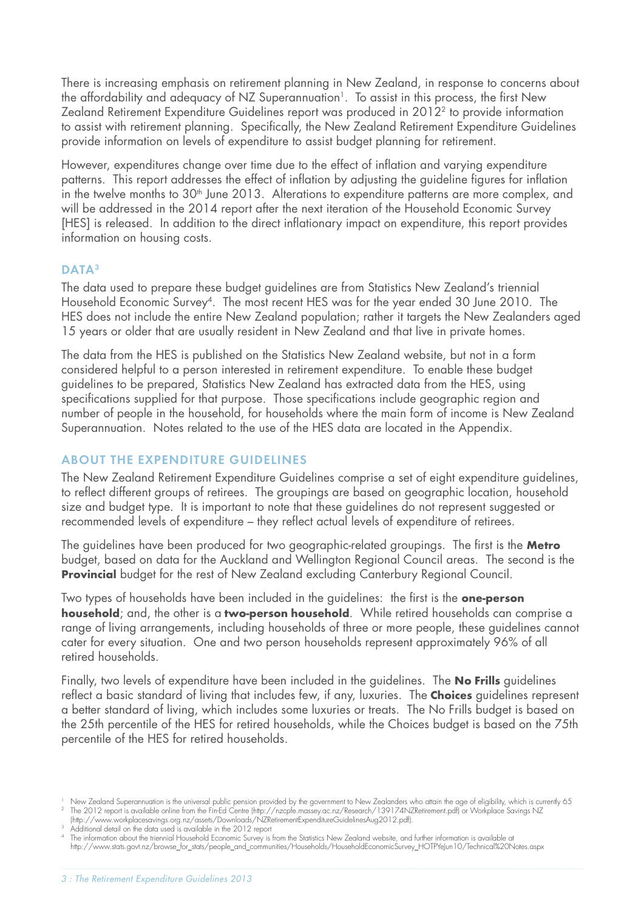There is increasing emphasis on retirement planning in New Zealand, in response to concerns about the affordability and adequacy of NZ Superannuation<sup>1</sup>. To assist in this process, the first New Zealand Retirement Expenditure Guidelines report was produced in 20122 to provide information to assist with retirement planning. Specifically, the New Zealand Retirement Expenditure Guidelines provide information on levels of expenditure to assist budget planning for retirement.

However, expenditures change over time due to the effect of inflation and varying expenditure patterns. This report addresses the effect of inflation by adjusting the guideline figures for inflation in the twelve months to 30<sup>th</sup> June 2013. Alterations to expenditure patterns are more complex, and will be addressed in the 2014 report after the next iteration of the Household Economic Survey [HES] is released. In addition to the direct inflationary impact on expenditure, this report provides information on housing costs.

## DATA<sup>3</sup>

The data used to prepare these budget guidelines are from Statistics New Zealand's triennial Household Economic Survey4. The most recent HES was for the year ended 30 June 2010. The HES does not include the entire New Zealand population; rather it targets the New Zealanders aged 15 years or older that are usually resident in New Zealand and that live in private homes.

The data from the HES is published on the Statistics New Zealand website, but not in a form considered helpful to a person interested in retirement expenditure. To enable these budget guidelines to be prepared, Statistics New Zealand has extracted data from the HES, using specifications supplied for that purpose. Those specifications include geographic region and number of people in the household, for households where the main form of income is New Zealand Superannuation. Notes related to the use of the HES data are located in the Appendix.

### ABOUT THE EXPENDITURE GUIDELINES

The New Zealand Retirement Expenditure Guidelines comprise a set of eight expenditure guidelines, to reflect different groups of retirees. The groupings are based on geographic location, household size and budget type. It is important to note that these guidelines do not represent suggested or recommended levels of expenditure – they reflect actual levels of expenditure of retirees.

The guidelines have been produced for two geographic-related groupings. The first is the **Metro** budget, based on data for the Auckland and Wellington Regional Council areas. The second is the **Provincial** budget for the rest of New Zealand excluding Canterbury Regional Council.

Two types of households have been included in the guidelines: the first is the **one-person household**; and, the other is a **two-person household**. While retired households can comprise a range of living arrangements, including households of three or more people, these guidelines cannot cater for every situation. One and two person households represent approximately 96% of all retired households.

Finally, two levels of expenditure have been included in the guidelines. The **No Frills** guidelines reflect a basic standard of living that includes few, if any, luxuries. The **Choices** guidelines represent a better standard of living, which includes some luxuries or treats. The No Frills budget is based on the 25th percentile of the HES for retired households, while the Choices budget is based on the 75th percentile of the HES for retired households.

<sup>&</sup>lt;sup>1</sup> New Zealand Superannuation is the universal public pension provided by the government to New Zealanders who attain the age of eligibility, which is currently 65 <sup>2</sup> The 2012 report is available online from the Fin-Ed Centre (http://nzcpfe.massey.ac.nz/Research/139174NZRetirement.pdf) or Workplace Savings NZ (http://www.workplacesavings.org.nz/assets/Downloads/NZRetirementExpenditureGuidelinesAug2012.pdf).

<sup>&</sup>lt;sup>3</sup> Additional detail on the data used is available in the 2012 report

<sup>4</sup> The information about the triennial Household Economic Survey is from the Statistics New Zealand website, and further information is available at http://www.stats.govt.nz/browse\_for\_stats/people\_and\_communities/Households/HouseholdEconomicSurvey\_HOTPYeJun10/Technical%20Notes.aspx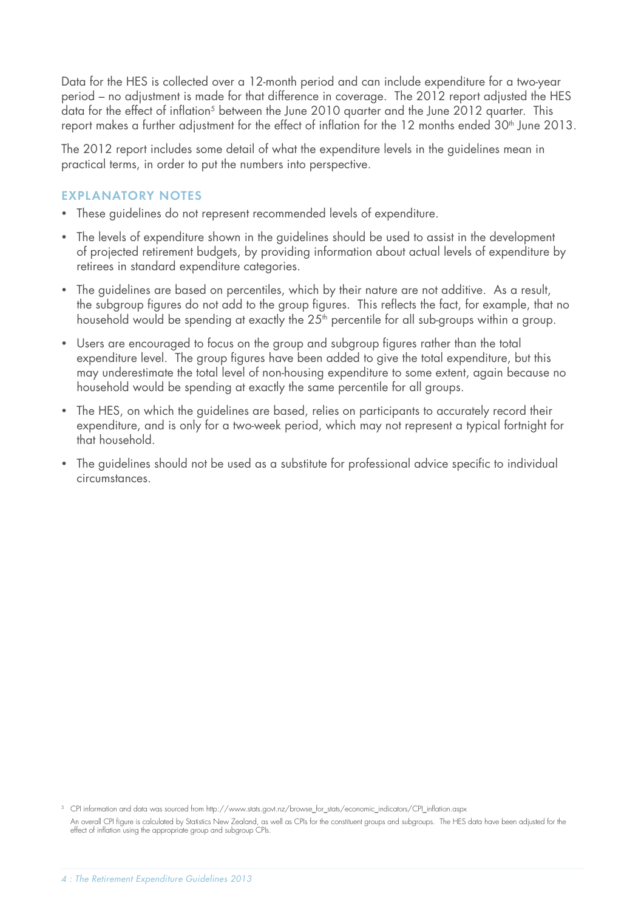Data for the HES is collected over a 12-month period and can include expenditure for a two-year period – no adjustment is made for that difference in coverage. The 2012 report adjusted the HES data for the effect of inflation<sup>5</sup> between the June 2010 quarter and the June 2012 quarter. This report makes a further adjustment for the effect of inflation for the 12 months ended 30<sup>th</sup> June 2013.

The 2012 report includes some detail of what the expenditure levels in the guidelines mean in practical terms, in order to put the numbers into perspective.

## EXPLANATORY NOTES

- These quidelines do not represent recommended levels of expenditure.
- The levels of expenditure shown in the guidelines should be used to assist in the development of projected retirement budgets, by providing information about actual levels of expenditure by retirees in standard expenditure categories.
- The quidelines are based on percentiles, which by their nature are not additive. As a result, the subgroup figures do not add to the group figures. This reflects the fact, for example, that no household would be spending at exactly the 25<sup>th</sup> percentile for all sub-groups within a group.
- Users are encouraged to focus on the group and subgroup figures rather than the total expenditure level. The group figures have been added to give the total expenditure, but this may underestimate the total level of non-housing expenditure to some extent, again because no household would be spending at exactly the same percentile for all groups.
- The HES, on which the quidelines are based, relies on participants to accurately record their expenditure, and is only for a two-week period, which may not represent a typical fortnight for that household.
- The guidelines should not be used as a substitute for professional advice specific to individual circumstances.

<sup>5</sup> CPI information and data was sourced from http://www.stats.govt.nz/browse\_for\_stats/economic\_indicators/CPI\_infl ation.aspx An overall CPI figure is calculated by Statistics New Zealand, as well as CPIs for the constituent groups and subgroups. The HES data have been adjusted for the effect of inflation using the appropriate group and subgroup CPIs.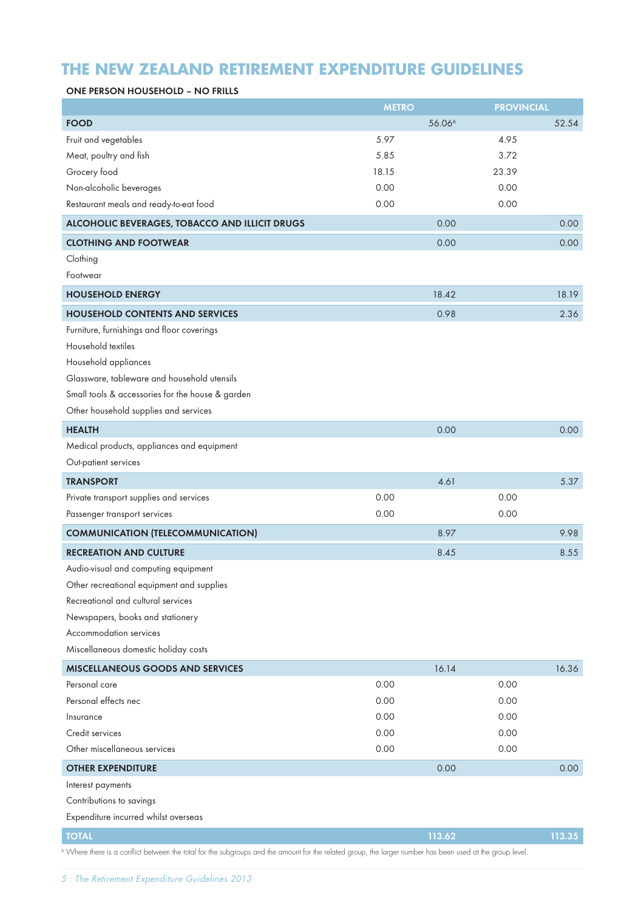# **THE NEW ZEALAND RETIREMENT EXPENDITURE GUIDELINES**

#### ONE PERSON HOUSEHOLD – NO FRILLS

|                                                  | <b>METRO</b> |                    | <b>PROVINCIAL</b> |        |
|--------------------------------------------------|--------------|--------------------|-------------------|--------|
| <b>FOOD</b>                                      |              | 56.06 <sup>6</sup> |                   | 52.54  |
| Fruit and vegetables                             | 5.97         |                    | 4.95              |        |
| Meat, poultry and fish                           | 5.85         |                    | 3.72              |        |
| Grocery food                                     | 18.15        |                    | 23.39             |        |
| Non-alcoholic beverages                          | 0.00         |                    | 0.00              |        |
| Restaurant meals and ready-to-eat food           | 0.00         |                    | 0.00              |        |
| ALCOHOLIC BEVERAGES, TOBACCO AND ILLICIT DRUGS   |              | 0.00               |                   | 0.00   |
| <b>CLOTHING AND FOOTWEAR</b>                     |              | 0.00               |                   | 0.00   |
| Clothing                                         |              |                    |                   |        |
| Footwear                                         |              |                    |                   |        |
| <b>HOUSEHOLD ENERGY</b>                          |              | 18.42              |                   | 18.19  |
| <b>HOUSEHOLD CONTENTS AND SERVICES</b>           |              | 0.98               |                   | 2.36   |
| Furniture, furnishings and floor coverings       |              |                    |                   |        |
| Household textiles                               |              |                    |                   |        |
| Household appliances                             |              |                    |                   |        |
| Glassware, tableware and household utensils      |              |                    |                   |        |
| Small tools & accessories for the house & garden |              |                    |                   |        |
| Other household supplies and services            |              |                    |                   |        |
| <b>HEALTH</b>                                    |              | 0.00               |                   | 0.00   |
| Medical products, appliances and equipment       |              |                    |                   |        |
| Out-patient services                             |              |                    |                   |        |
| <b>TRANSPORT</b>                                 |              | 4.61               |                   | 5.37   |
| Private transport supplies and services          | 0.00         |                    | 0.00              |        |
| Passenger transport services                     | 0.00         |                    | 0.00              |        |
| <b>COMMUNICATION (TELECOMMUNICATION)</b>         |              | 8.97               |                   | 9.98   |
| <b>RECREATION AND CULTURE</b>                    |              | 8.45               |                   | 8.55   |
| Audio-visual and computing equipment             |              |                    |                   |        |
| Other recreational equipment and supplies        |              |                    |                   |        |
| Recreational and cultural services               |              |                    |                   |        |
| Newspapers, books and stationery                 |              |                    |                   |        |
| Accommodation services                           |              |                    |                   |        |
| Miscellaneous domestic holiday costs             |              |                    |                   |        |
| <b>MISCELLANEOUS GOODS AND SERVICES</b>          |              | 16.14              |                   | 16.36  |
| Personal care                                    | 0.00         |                    | 0.00              |        |
| Personal effects nec                             | 0.00         |                    | 0.00              |        |
| Insurance                                        | 0.00         |                    | 0.00              |        |
| Credit services                                  | 0.00         |                    | 0.00              |        |
| Other miscellaneous services                     | 0.00         |                    | 0.00              |        |
| <b>OTHER EXPENDITURE</b>                         |              | 0.00               |                   | 0.00   |
| Interest payments                                |              |                    |                   |        |
| Contributions to savings                         |              |                    |                   |        |
| Expenditure incurred whilst overseas             |              |                    |                   |        |
| <b>TOTAL</b>                                     |              | 113.62             |                   | 113.35 |

<sup>6</sup> Where there is a conflict between the total for the subgroups and the amount for the related group, the larger number has been used at the group level.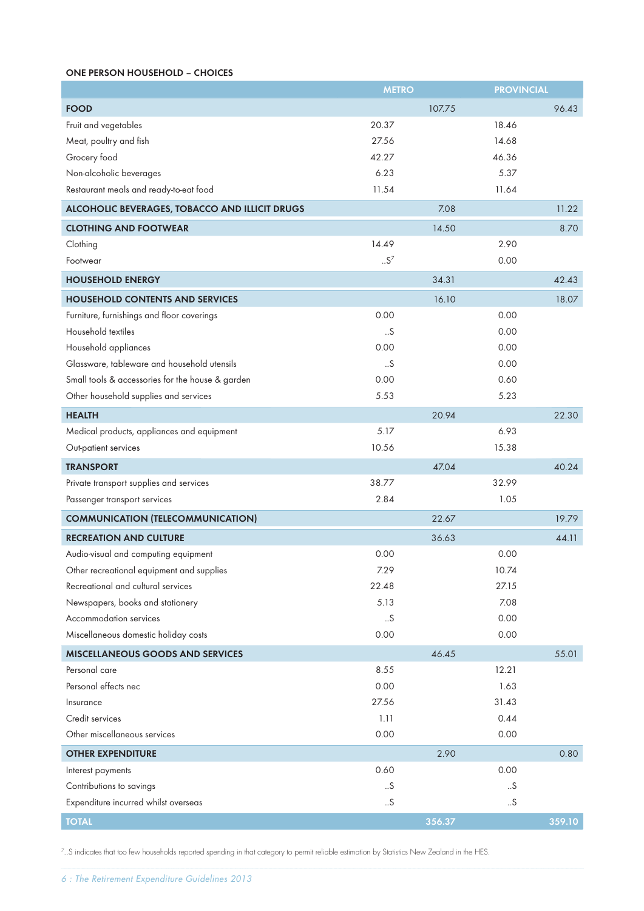#### ONE PERSON HOUSEHOLD – CHOICES

|                                                  | <b>METRO</b> |        | <b>PROVINCIAL</b> |        |
|--------------------------------------------------|--------------|--------|-------------------|--------|
| <b>FOOD</b>                                      |              | 107.75 |                   | 96.43  |
| Fruit and vegetables                             | 20.37        |        | 18.46             |        |
| Meat, poultry and fish                           | 27.56        |        | 14.68             |        |
| Grocery food                                     | 42.27        |        | 46.36             |        |
| Non-alcoholic beverages                          | 6.23         |        | 5.37              |        |
| Restaurant meals and ready-to-eat food           | 11.54        |        | 11.64             |        |
| ALCOHOLIC BEVERAGES, TOBACCO AND ILLICIT DRUGS   |              | 7.08   |                   | 11.22  |
| <b>CLOTHING AND FOOTWEAR</b>                     |              | 14.50  |                   | 8.70   |
| Clothing                                         | 14.49        |        | 2.90              |        |
| Footwear                                         | $.5^7$       |        | 0.00              |        |
| <b>HOUSEHOLD ENERGY</b>                          |              | 34.31  |                   | 42.43  |
| <b>HOUSEHOLD CONTENTS AND SERVICES</b>           |              | 16.10  |                   | 18.07  |
| Furniture, furnishings and floor coverings       | 0.00         |        | 0.00              |        |
| Household textiles                               | S            |        | 0.00              |        |
| Household appliances                             | 0.00         |        | 0.00              |        |
| Glassware, tableware and household utensils      | .5           |        | 0.00              |        |
| Small tools & accessories for the house & garden | 0.00         |        | 0.60              |        |
| Other household supplies and services            | 5.53         |        | 5.23              |        |
| <b>HEALTH</b>                                    |              | 20.94  |                   | 22.30  |
| Medical products, appliances and equipment       | 5.17         |        | 6.93              |        |
| Out-patient services                             | 10.56        |        | 15.38             |        |
| <b>TRANSPORT</b>                                 |              | 47.04  |                   | 40.24  |
| Private transport supplies and services          | 38.77        |        | 32.99             |        |
| Passenger transport services                     | 2.84         |        | 1.05              |        |
| <b>COMMUNICATION (TELECOMMUNICATION)</b>         |              | 22.67  |                   | 19.79  |
| <b>RECREATION AND CULTURE</b>                    |              | 36.63  |                   | 44.11  |
| Audio-visual and computing equipment             | 0.00         |        | 0.00              |        |
| Other recreational equipment and supplies        | 7.29         |        | 10.74             |        |
| Recreational and cultural services               | 22.48        |        | 27.15             |        |
| Newspapers, books and stationery                 | 5.13         |        | 7.08              |        |
| Accommodation services                           | .5           |        | 0.00              |        |
| Miscellaneous domestic holiday costs             | 0.00         |        | 0.00              |        |
| <b>MISCELLANEOUS GOODS AND SERVICES</b>          |              | 46.45  |                   | 55.01  |
| Personal care                                    | 8.55         |        | 12.21             |        |
| Personal effects nec                             | 0.00         |        | 1.63              |        |
| Insurance                                        | 27.56        |        | 31.43             |        |
| Credit services                                  | 1.11         |        | 0.44              |        |
| Other miscellaneous services                     | 0.00         |        | 0.00              |        |
| <b>OTHER EXPENDITURE</b>                         |              | 2.90   |                   | 0.80   |
| Interest payments                                | 0.60         |        | 0.00              |        |
| Contributions to savings                         | S            |        | S                 |        |
| Expenditure incurred whilst overseas             | .5           |        | .5                |        |
| <b>TOTAL</b>                                     |              | 356.37 |                   | 359.10 |

 $^7$ ..S indicates that too few households reported spending in that category to permit reliable estimation by Statistics New Zealand in the HES.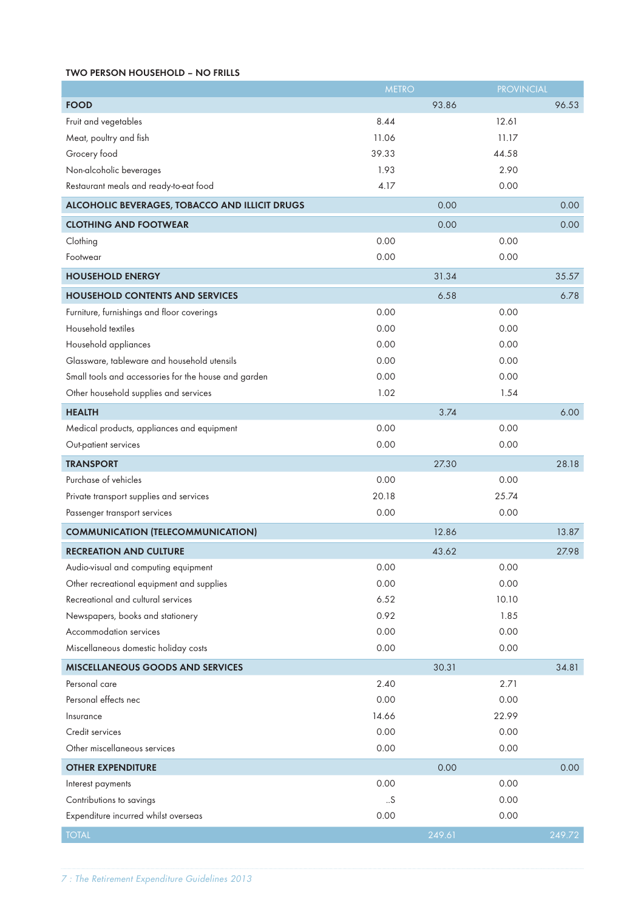#### TWO PERSON HOUSEHOLD – NO FRILLS

|                                                      | <b>METRO</b> |        | <b>PROVINCIAL</b> |        |
|------------------------------------------------------|--------------|--------|-------------------|--------|
| <b>FOOD</b>                                          |              | 93.86  |                   | 96.53  |
| Fruit and vegetables                                 | 8.44         |        | 12.61             |        |
| Meat, poultry and fish                               | 11.06        |        | 11.17             |        |
| Grocery food                                         | 39.33        |        | 44.58             |        |
| Non-alcoholic beverages                              | 1.93         |        | 2.90              |        |
| Restaurant meals and ready-to-eat food               | 4.17         |        | 0.00              |        |
| ALCOHOLIC BEVERAGES, TOBACCO AND ILLICIT DRUGS       |              | 0.00   |                   | 0.00   |
| <b>CLOTHING AND FOOTWEAR</b>                         |              | 0.00   |                   | 0.00   |
| Clothing                                             | 0.00         |        | 0.00              |        |
| Footwear                                             | 0.00         |        | 0.00              |        |
| <b>HOUSEHOLD ENERGY</b>                              |              | 31.34  |                   | 35.57  |
| <b>HOUSEHOLD CONTENTS AND SERVICES</b>               |              | 6.58   |                   | 6.78   |
| Furniture, furnishings and floor coverings           | 0.00         |        | 0.00              |        |
| Household textiles                                   | 0.00         |        | 0.00              |        |
| Household appliances                                 | 0.00         |        | 0.00              |        |
| Glassware, tableware and household utensils          | 0.00         |        | 0.00              |        |
| Small tools and accessories for the house and garden | 0.00         |        | 0.00              |        |
| Other household supplies and services                | 1.02         |        | 1.54              |        |
| <b>HEALTH</b>                                        |              | 3.74   |                   | 6.00   |
| Medical products, appliances and equipment           | 0.00         |        | 0.00              |        |
| Out-patient services                                 | 0.00         |        | 0.00              |        |
| <b>TRANSPORT</b>                                     |              | 27.30  |                   | 28.18  |
| Purchase of vehicles                                 | 0.00         |        | 0.00              |        |
| Private transport supplies and services              | 20.18        |        | 25.74             |        |
| Passenger transport services                         | 0.00         |        | 0.00              |        |
| <b>COMMUNICATION (TELECOMMUNICATION)</b>             |              | 12.86  |                   | 13.87  |
| <b>RECREATION AND CULTURE</b>                        |              | 43.62  |                   | 27.98  |
| Audio-visual and computing equipment                 | 0.00         |        | 0.00              |        |
| Other recreational equipment and supplies            | 0.00         |        | 0.00              |        |
| Recreational and cultural services                   | 6.52         |        | 10.10             |        |
| Newspapers, books and stationery                     | 0.92         |        | 1.85              |        |
| Accommodation services                               | 0.00         |        | 0.00              |        |
| Miscellaneous domestic holiday costs                 | 0.00         |        | 0.00              |        |
| <b>MISCELLANEOUS GOODS AND SERVICES</b>              |              | 30.31  |                   | 34.81  |
| Personal care                                        | 2.40         |        | 2.71              |        |
| Personal effects nec                                 | 0.00         |        | 0.00              |        |
| Insurance                                            | 14.66        |        | 22.99             |        |
| Credit services                                      | 0.00         |        | 0.00              |        |
| Other miscellaneous services                         | 0.00         |        | 0.00              |        |
| <b>OTHER EXPENDITURE</b>                             |              | 0.00   |                   | 0.00   |
| Interest payments                                    | 0.00         |        | 0.00              |        |
| Contributions to savings                             | .5           |        | 0.00              |        |
| Expenditure incurred whilst overseas                 | 0.00         |        | 0.00              |        |
| <b>TOTAL</b>                                         |              | 249.61 |                   | 249.72 |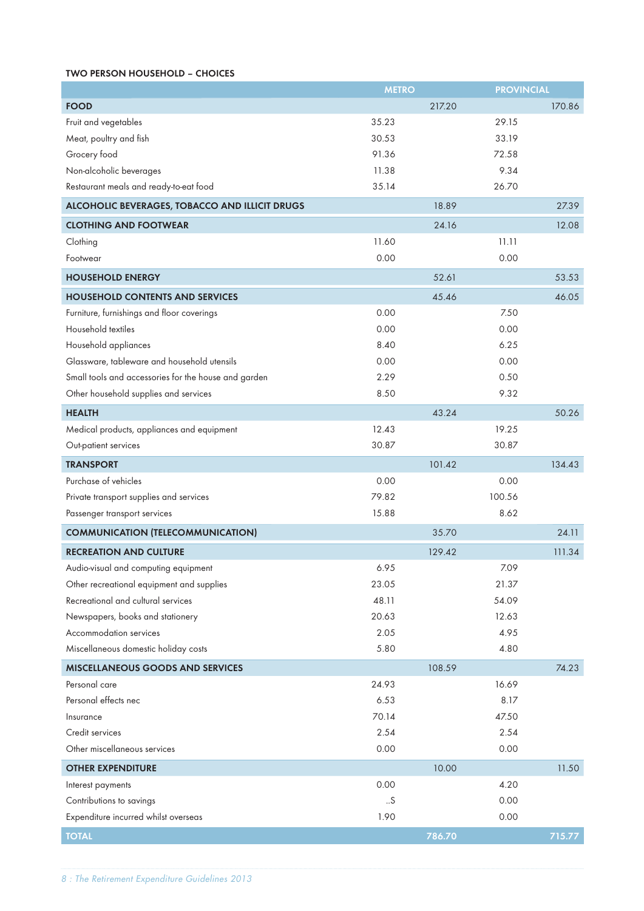#### TWO PERSON HOUSEHOLD – CHOICES

|                                                      | <b>METRO</b> |        | <b>PROVINCIAL</b> |        |
|------------------------------------------------------|--------------|--------|-------------------|--------|
| <b>FOOD</b>                                          |              | 217.20 |                   | 170.86 |
| Fruit and vegetables                                 | 35.23        |        | 29.15             |        |
| Meat, poultry and fish                               | 30.53        |        | 33.19             |        |
| Grocery food                                         | 91.36        |        | 72.58             |        |
| Non-alcoholic beverages                              | 11.38        |        | 9.34              |        |
| Restaurant meals and ready-to-eat food               | 35.14        |        | 26.70             |        |
| ALCOHOLIC BEVERAGES, TOBACCO AND ILLICIT DRUGS       |              | 18.89  |                   | 27.39  |
| <b>CLOTHING AND FOOTWEAR</b>                         |              | 24.16  |                   | 12.08  |
| Clothing                                             | 11.60        |        | 11.11             |        |
| Footwear                                             | 0.00         |        | 0.00              |        |
| <b>HOUSEHOLD ENERGY</b>                              |              | 52.61  |                   | 53.53  |
| <b>HOUSEHOLD CONTENTS AND SERVICES</b>               |              | 45.46  |                   | 46.05  |
| Furniture, furnishings and floor coverings           | 0.00         |        | 7.50              |        |
| Household textiles                                   | 0.00         |        | 0.00              |        |
| Household appliances                                 | 8.40         |        | 6.25              |        |
| Glassware, tableware and household utensils          | 0.00         |        | 0.00              |        |
| Small tools and accessories for the house and garden | 2.29         |        | 0.50              |        |
| Other household supplies and services                | 8.50         |        | 9.32              |        |
| <b>HEALTH</b>                                        |              | 43.24  |                   | 50.26  |
| Medical products, appliances and equipment           | 12.43        |        | 19.25             |        |
| Out-patient services                                 | 30.87        |        | 30.87             |        |
| <b>TRANSPORT</b>                                     |              | 101.42 |                   | 134.43 |
| Purchase of vehicles                                 | 0.00         |        | 0.00              |        |
| Private transport supplies and services              | 79.82        |        | 100.56            |        |
| Passenger transport services                         | 15.88        |        | 8.62              |        |
| <b>COMMUNICATION (TELECOMMUNICATION)</b>             |              | 35.70  |                   | 24.11  |
| <b>RECREATION AND CULTURE</b>                        |              | 129.42 |                   | 111.34 |
| Audio-visual and computing equipment                 | 6.95         |        | 7.09              |        |
| Other recreational equipment and supplies            | 23.05        |        | 21.37             |        |
| Recreational and cultural services                   | 48.11        |        | 54.09             |        |
| Newspapers, books and stationery                     | 20.63        |        | 12.63             |        |
| Accommodation services                               | 2.05         |        | 4.95              |        |
| Miscellaneous domestic holiday costs                 | 5.80         |        | 4.80              |        |
| <b>MISCELLANEOUS GOODS AND SERVICES</b>              |              | 108.59 |                   | 74.23  |
| Personal care                                        | 24.93        |        | 16.69             |        |
| Personal effects nec                                 | 6.53         |        | 8.17              |        |
| Insurance                                            | 70.14        |        | 47.50             |        |
| Credit services                                      | 2.54         |        | 2.54              |        |
| Other miscellaneous services                         | 0.00         |        | 0.00              |        |
| <b>OTHER EXPENDITURE</b>                             |              | 10.00  |                   | 11.50  |
| Interest payments                                    | 0.00         |        | 4.20              |        |
| Contributions to savings                             | .5           |        | 0.00              |        |
| Expenditure incurred whilst overseas                 | 1.90         |        | 0.00              |        |
| <b>TOTAL</b>                                         |              | 786.70 |                   | 715.77 |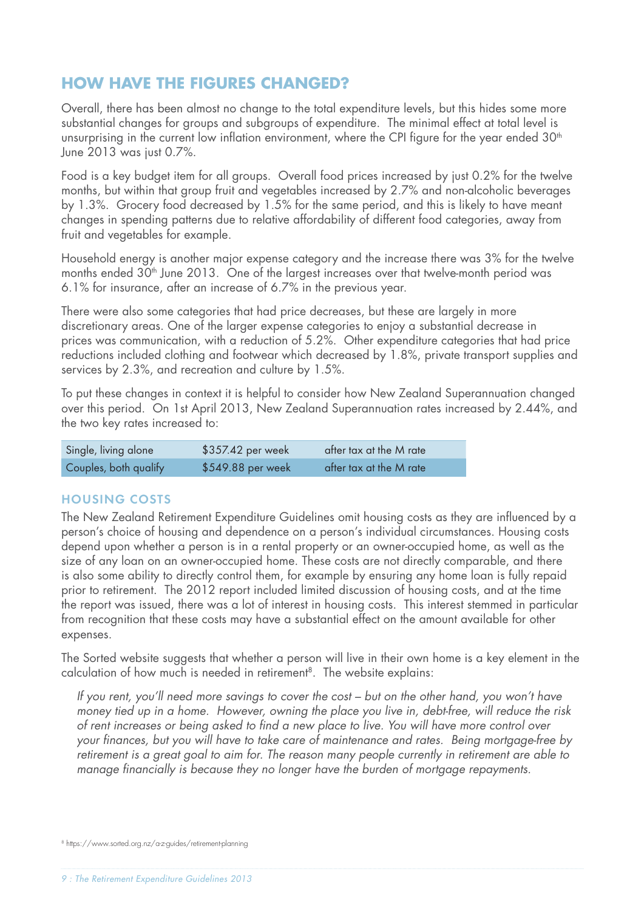# **HOW HAVE THE FIGURES CHANGED?**

Overall, there has been almost no change to the total expenditure levels, but this hides some more substantial changes for groups and subgroups of expenditure. The minimal effect at total level is unsurprising in the current low inflation environment, where the CPI figure for the year ended 30<sup>th</sup> June 2013 was just 0.7%.

Food is a key budget item for all groups. Overall food prices increased by just 0.2% for the twelve months, but within that group fruit and vegetables increased by 2.7% and non-alcoholic beverages by 1.3%. Grocery food decreased by 1.5% for the same period, and this is likely to have meant changes in spending patterns due to relative affordability of different food categories, away from fruit and vegetables for example.

Household energy is another major expense category and the increase there was 3% for the twelve months ended 30<sup>th</sup> June 2013. One of the largest increases over that twelve-month period was 6.1% for insurance, after an increase of 6.7% in the previous year.

There were also some categories that had price decreases, but these are largely in more discretionary areas. One of the larger expense categories to enjoy a substantial decrease in prices was communication, with a reduction of 5.2%. Other expenditure categories that had price reductions included clothing and footwear which decreased by 1.8%, private transport supplies and services by 2.3%, and recreation and culture by 1.5%.

To put these changes in context it is helpful to consider how New Zealand Superannuation changed over this period. On 1st April 2013, New Zealand Superannuation rates increased by 2.44%, and the two key rates increased to:

| Single, living alone  | \$357.42 per week | after tax at the M rate |
|-----------------------|-------------------|-------------------------|
| Couples, both qualify | \$549.88 per week | after tax at the M rate |

## HOUSING COSTS

The New Zealand Retirement Expenditure Guidelines omit housing costs as they are influenced by a person's choice of housing and dependence on a person's individual circumstances. Housing costs depend upon whether a person is in a rental property or an owner-occupied home, as well as the size of any loan on an owner-occupied home. These costs are not directly comparable, and there is also some ability to directly control them, for example by ensuring any home loan is fully repaid prior to retirement. The 2012 report included limited discussion of housing costs, and at the time the report was issued, there was a lot of interest in housing costs. This interest stemmed in particular from recognition that these costs may have a substantial effect on the amount available for other expenses.

The Sorted website suggests that whether a person will live in their own home is a key element in the calculation of how much is needed in retirement<sup>8</sup>. The website explains:

*If you rent, you'll need more savings to cover the cost – but on the other hand, you won't have money tied up in a home. However, owning the place you live in, debt-free, will reduce the risk of rent increases or being asked to fi nd a new place to live. You will have more control over*  your finances, but you will have to take care of maintenance and rates. Being mortgage-free by *retirement is a great goal to aim for. The reason many people currently in retirement are able to*  manage financially is because they no longer have the burden of mortgage repayments.

<sup>8</sup> https://www.sorted.org.nz/a-z-guides/retirement-planning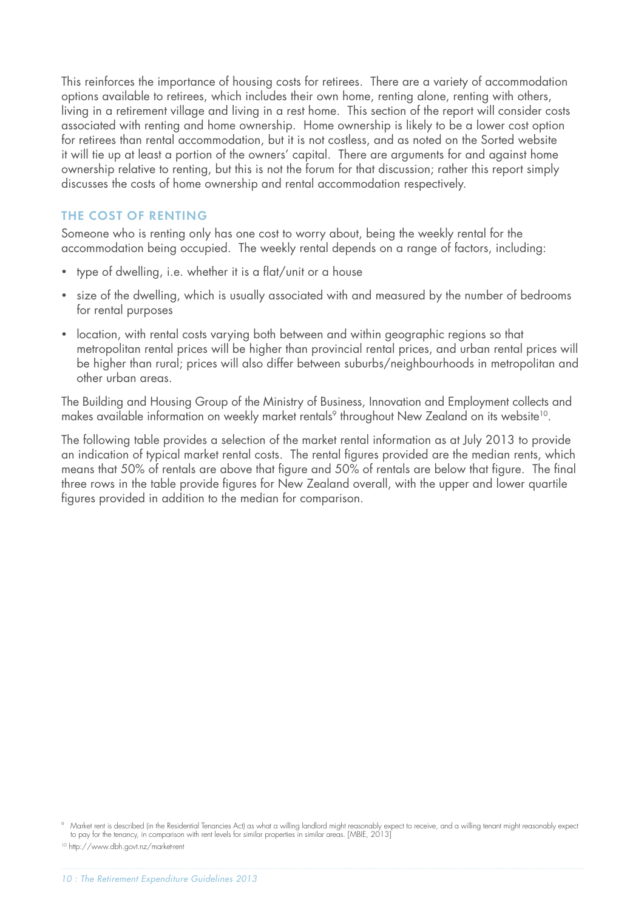This reinforces the importance of housing costs for retirees. There are a variety of accommodation options available to retirees, which includes their own home, renting alone, renting with others, living in a retirement village and living in a rest home. This section of the report will consider costs associated with renting and home ownership. Home ownership is likely to be a lower cost option for retirees than rental accommodation, but it is not costless, and as noted on the Sorted website it will tie up at least a portion of the owners' capital. There are arguments for and against home ownership relative to renting, but this is not the forum for that discussion; rather this report simply discusses the costs of home ownership and rental accommodation respectively.

## THE COST OF RENTING

Someone who is renting only has one cost to worry about, being the weekly rental for the accommodation being occupied. The weekly rental depends on a range of factors, including:

- type of dwelling, i.e. whether it is a flat/unit or a house
- size of the dwelling, which is usually associated with and measured by the number of bedrooms for rental purposes
- location, with rental costs varying both between and within geographic regions so that metropolitan rental prices will be higher than provincial rental prices, and urban rental prices will be higher than rural; prices will also differ between suburbs/neighbourhoods in metropolitan and other urban areas.

The Building and Housing Group of the Ministry of Business, Innovation and Employment collects and makes available information on weekly market rentals<sup>9</sup> throughout New Zealand on its website<sup>10</sup>.

The following table provides a selection of the market rental information as at July 2013 to provide an indication of typical market rental costs. The rental figures provided are the median rents, which means that 50% of rentals are above that figure and 50% of rentals are below that figure. The final three rows in the table provide figures for New Zealand overall, with the upper and lower quartile figures provided in addition to the median for comparison.

10 http://www.dbh.govt.nz/market-rent

<sup>9</sup> Market rent is described (in the Residential Tenancies Act) as what a willing landlord might reasonably expect to receive, and a willing tenant might reasonably expect to pay for the tenancy, in comparison with rent levels for similar properties in similar areas. [MBIE, 2013]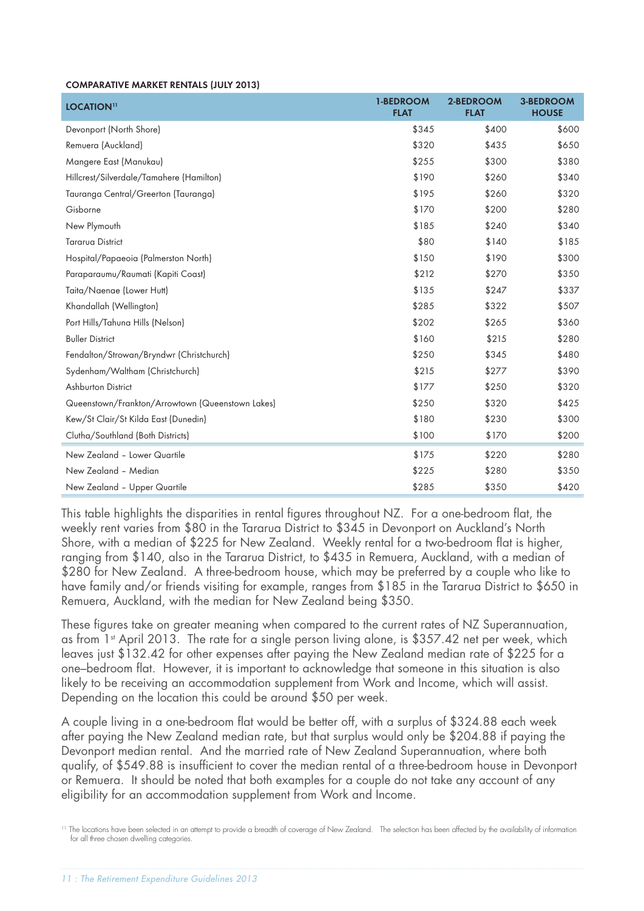#### COMPARATIVE MARKET RENTALS (JULY 2013)

| LOCATION <sup>11</sup>                           | <b>1-BEDROOM</b><br><b>FLAT</b> | 2-BEDROOM<br><b>FLAT</b> | <b>3-BEDROOM</b><br><b>HOUSE</b> |
|--------------------------------------------------|---------------------------------|--------------------------|----------------------------------|
| Devonport (North Shore)                          | \$345                           | \$400                    | \$600                            |
| Remuera (Auckland)                               | \$320                           | \$435                    | \$650                            |
| Mangere East (Manukau)                           | \$255                           | \$300                    | \$380                            |
| Hillcrest/Silverdale/Tamahere (Hamilton)         | \$190                           | \$260                    | \$340                            |
| Tauranga Central/Greerton (Tauranga)             | \$195                           | \$260                    | \$320                            |
| Gisborne                                         | \$170                           | \$200                    | \$280                            |
| New Plymouth                                     | \$185                           | \$240                    | \$340                            |
| <b>Tararua District</b>                          | \$80                            | \$140                    | \$185                            |
| Hospital/Papaeoia (Palmerston North)             | \$150                           | \$190                    | \$300                            |
| Paraparaumu/Raumati (Kapiti Coast)               | \$212                           | \$270                    | \$350                            |
| Taita/Naenae (Lower Hutt)                        | \$135                           | \$247                    | \$337                            |
| Khandallah (Wellington)                          | \$285                           | \$322                    | \$507                            |
| Port Hills/Tahuna Hills (Nelson)                 | \$202                           | \$265                    | \$360                            |
| <b>Buller District</b>                           | \$160                           | \$215                    | \$280                            |
| Fendalton/Strowan/Bryndwr (Christchurch)         | \$250                           | \$345                    | \$480                            |
| Sydenham/Waltham (Christchurch)                  | \$215                           | \$277                    | \$390                            |
| Ashburton District                               | \$177                           | \$250                    | \$320                            |
| Queenstown/Frankton/Arrowtown (Queenstown Lakes) | \$250                           | \$320                    | \$425                            |
| Kew/St Clair/St Kilda East (Dunedin)             | \$180                           | \$230                    | \$300                            |
| Clutha/Southland (Both Districts)                | \$100                           | \$170                    | \$200                            |
| New Zealand - Lower Quartile                     | \$175                           | \$220                    | \$280                            |
| New Zealand - Median                             | \$225                           | \$280                    | \$350                            |
| New Zealand - Upper Quartile                     | \$285                           | \$350                    | \$420                            |

This table highlights the disparities in rental figures throughout NZ. For a one-bedroom flat, the weekly rent varies from \$80 in the Tararua District to \$345 in Devonport on Auckland's North Shore, with a median of \$225 for New Zealand. Weekly rental for a two-bedroom flat is higher, ranging from \$140, also in the Tararua District, to \$435 in Remuera, Auckland, with a median of \$280 for New Zealand. A three-bedroom house, which may be preferred by a couple who like to have family and/or friends visiting for example, ranges from \$185 in the Tararua District to \$650 in Remuera, Auckland, with the median for New Zealand being \$350.

These figures take on greater meaning when compared to the current rates of NZ Superannuation, as from 1<sup>st</sup> April 2013. The rate for a single person living alone, is \$357.42 net per week, which leaves just \$132.42 for other expenses after paying the New Zealand median rate of \$225 for a one–bedroom flat. However, it is important to acknowledge that someone in this situation is also likely to be receiving an accommodation supplement from Work and Income, which will assist. Depending on the location this could be around \$50 per week.

A couple living in a one-bedroom flat would be better off, with a surplus of \$324.88 each week after paying the New Zealand median rate, but that surplus would only be \$204.88 if paying the Devonport median rental. And the married rate of New Zealand Superannuation, where both qualify, of \$549.88 is insufficient to cover the median rental of a three-bedroom house in Devonport or Remuera. It should be noted that both examples for a couple do not take any account of any eligibility for an accommodation supplement from Work and Income.

11 The locations have been selected in an attempt to provide a breadth of coverage of New Zealand. The selection has been affected by the availability of information for all three chosen dwelling categories.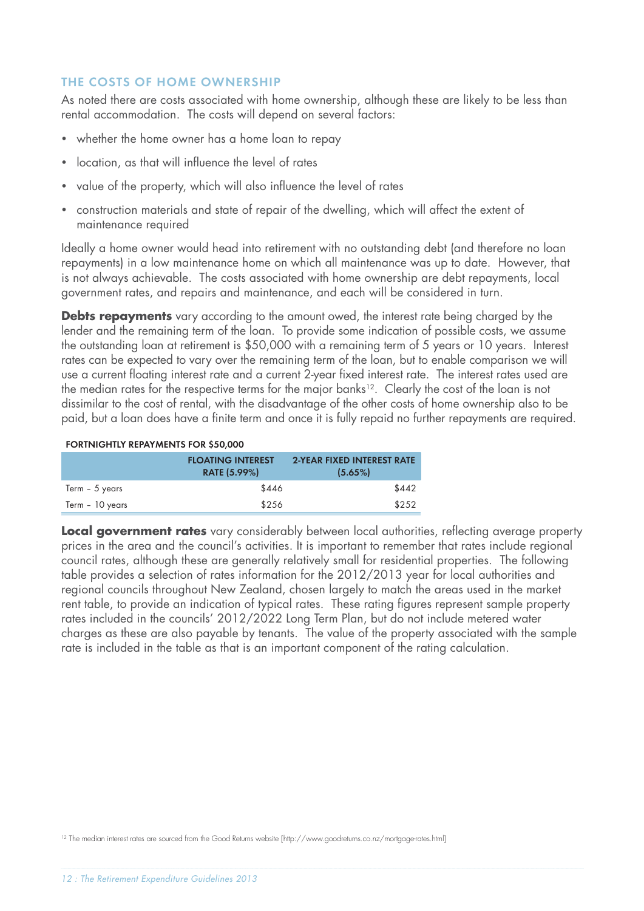## THE COSTS OF HOME OWNERSHIP

As noted there are costs associated with home ownership, although these are likely to be less than rental accommodation. The costs will depend on several factors:

- whether the home owner has a home loan to repay
- location, as that will influence the level of rates
- value of the property, which will also influence the level of rates
- construction materials and state of repair of the dwelling, which will affect the extent of maintenance required

Ideally a home owner would head into retirement with no outstanding debt (and therefore no loan repayments) in a low maintenance home on which all maintenance was up to date. However, that is not always achievable. The costs associated with home ownership are debt repayments, local government rates, and repairs and maintenance, and each will be considered in turn.

**Debts repayments** vary according to the amount owed, the interest rate being charged by the lender and the remaining term of the loan. To provide some indication of possible costs, we assume the outstanding loan at retirement is \$50,000 with a remaining term of 5 years or 10 years. Interest rates can be expected to vary over the remaining term of the loan, but to enable comparison we will use a current floating interest rate and a current 2-year fixed interest rate. The interest rates used are the median rates for the respective terms for the major banks<sup>12</sup>. Clearly the cost of the loan is not dissimilar to the cost of rental, with the disadvantage of the other costs of home ownership also to be paid, but a loan does have a finite term and once it is fully repaid no further repayments are required.

#### FORTNIGHTLY REPAYMENTS FOR \$50,000

|                 | <b>FLOATING INTEREST</b><br><b>RATE (5.99%)</b> | <b>2-YEAR FIXED INTEREST RATE</b><br>(5.65%) |
|-----------------|-------------------------------------------------|----------------------------------------------|
| Term - 5 years  | \$446                                           | \$442                                        |
| Term - 10 years | \$256                                           | \$252                                        |

**Local government rates** vary considerably between local authorities, reflecting average property prices in the area and the council's activities. It is important to remember that rates include regional council rates, although these are generally relatively small for residential properties. The following table provides a selection of rates information for the 2012/2013 year for local authorities and regional councils throughout New Zealand, chosen largely to match the areas used in the market rent table, to provide an indication of typical rates. These rating figures represent sample property rates included in the councils' 2012/2022 Long Term Plan, but do not include metered water charges as these are also payable by tenants. The value of the property associated with the sample rate is included in the table as that is an important component of the rating calculation.

12 The median interest rates are sourced from the Good Returns website [http://www.goodreturns.co.nz/mortgage-rates.html]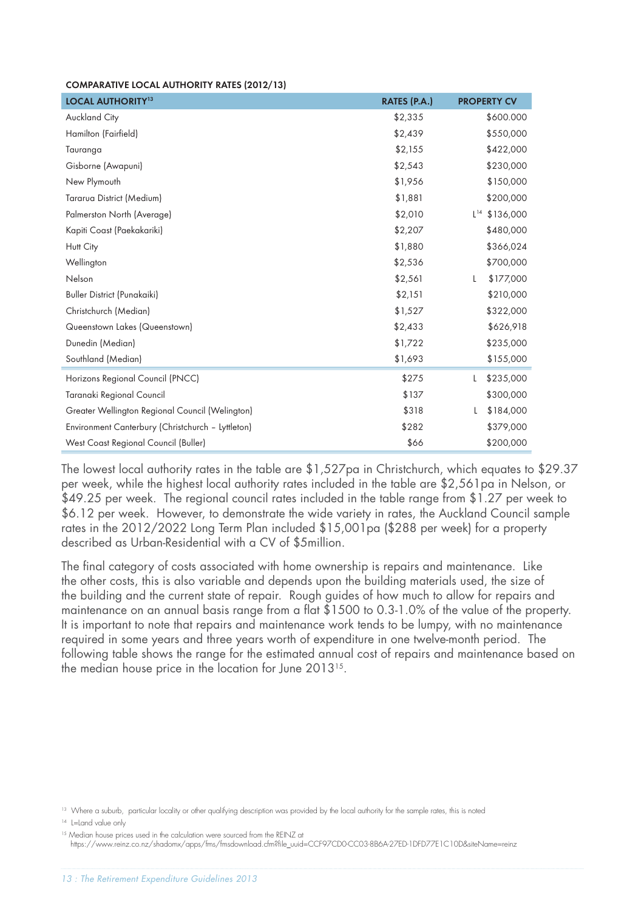#### COMPARATIVE LOCAL AUTHORITY RATES (2012/13)

| <b>LOCAL AUTHORITY<sup>13</sup></b>               | RATES (P.A.) | <b>PROPERTY CV</b> |
|---------------------------------------------------|--------------|--------------------|
| <b>Auckland City</b>                              | \$2,335      | \$600.000          |
| Hamilton (Fairfield)                              | \$2,439      | \$550,000          |
| Tauranga                                          | \$2,155      | \$422,000          |
| Gisborne (Awapuni)                                | \$2,543      | \$230,000          |
| New Plymouth                                      | \$1,956      | \$150,000          |
| Tararua District (Medium)                         | \$1,881      | \$200,000          |
| Palmerston North (Average)                        | \$2,010      | $L^{14}$ \$136,000 |
| Kapiti Coast (Paekakariki)                        | \$2,207      | \$480,000          |
| Hutt City                                         | \$1,880      | \$366,024          |
| Wellington                                        | \$2,536      | \$700,000          |
| Nelson                                            | \$2,561      | \$177,000<br>L     |
| <b>Buller District (Punakaiki)</b>                | \$2,151      | \$210,000          |
| Christchurch (Median)                             | \$1,527      | \$322,000          |
| Queenstown Lakes (Queenstown)                     | \$2,433      | \$626,918          |
| Dunedin (Median)                                  | \$1,722      | \$235,000          |
| Southland (Median)                                | \$1,693      | \$155,000          |
| Horizons Regional Council (PNCC)                  | \$275        | \$235,000<br>L     |
| Taranaki Regional Council                         | \$137        | \$300,000          |
| Greater Wellington Regional Council (Welington)   | \$318        | \$184,000<br>L     |
| Environment Canterbury (Christchurch - Lyttleton) | \$282        | \$379,000          |
| West Coast Regional Council (Buller)              | \$66         | \$200,000          |

The lowest local authority rates in the table are \$1,527pa in Christchurch, which equates to \$29.37 per week, while the highest local authority rates included in the table are \$2,561pa in Nelson, or \$49.25 per week. The regional council rates included in the table range from \$1.27 per week to \$6.12 per week. However, to demonstrate the wide variety in rates, the Auckland Council sample rates in the 2012/2022 Long Term Plan included \$15,001pa (\$288 per week) for a property described as Urban-Residential with a CV of \$5million.

The final category of costs associated with home ownership is repairs and maintenance. Like the other costs, this is also variable and depends upon the building materials used, the size of the building and the current state of repair. Rough guides of how much to allow for repairs and maintenance on an annual basis range from a flat  $$1500$  to 0.3-1.0% of the value of the property. It is important to note that repairs and maintenance work tends to be lumpy, with no maintenance required in some years and three years worth of expenditure in one twelve-month period. The following table shows the range for the estimated annual cost of repairs and maintenance based on the median house price in the location for June 2013<sup>15</sup>.

<sup>13</sup> Where a suburb, particular locality or other qualifying description was provided by the local authority for the sample rates, this is noted

<sup>14</sup> L=Land value only

<sup>&</sup>lt;sup>15</sup> Median house prices used in the calculation were sourced from the REINZ at

https://www.reinz.co.nz/shadomx/apps/fms/fmsdownload.cfm?fi le\_uuid=CCF97CD0-CC03-8B6A-27ED-1DFD77E1C10D&siteName=reinz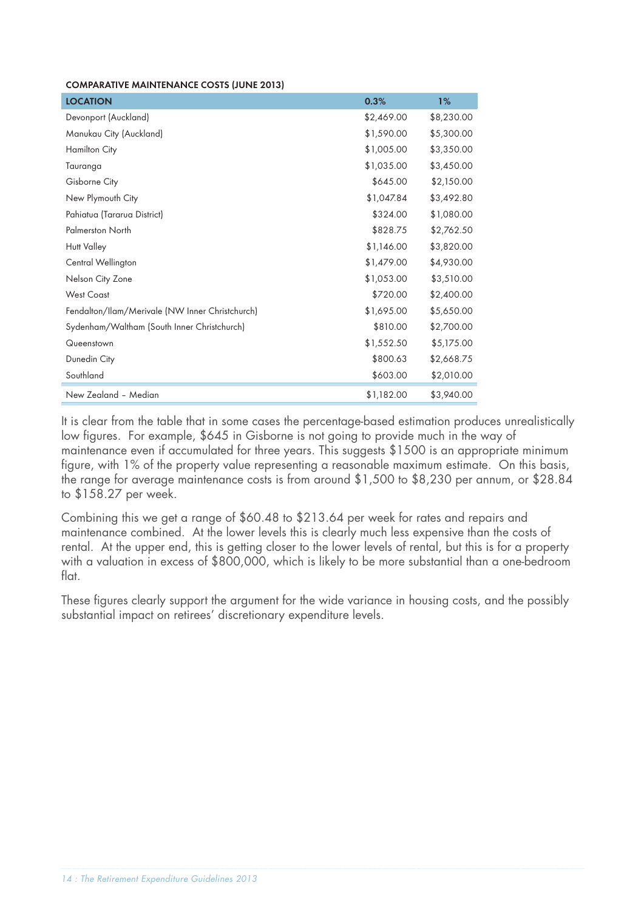#### COMPARATIVE MAINTENANCE COSTS (JUNE 2013)

| <b>LOCATION</b>                                 | 0.3%       | 1%         |
|-------------------------------------------------|------------|------------|
| Devonport (Auckland)                            | \$2,469.00 | \$8,230.00 |
| Manukau City (Auckland)                         | \$1,590.00 | \$5,300.00 |
| <b>Hamilton City</b>                            | \$1,005.00 | \$3,350.00 |
| Tauranga                                        | \$1,035.00 | \$3,450.00 |
| Gisborne City                                   | \$645.00   | \$2,150.00 |
| New Plymouth City                               | \$1,047.84 | \$3,492.80 |
| Pahiatua (Tararua District)                     | \$324.00   | \$1,080.00 |
| <b>Palmerston North</b>                         | \$828.75   | \$2,762.50 |
| <b>Hutt Valley</b>                              | \$1,146.00 | \$3,820.00 |
| Central Wellington                              | \$1,479.00 | \$4,930.00 |
| Nelson City Zone                                | \$1,053.00 | \$3,510.00 |
| <b>West Coast</b>                               | \$720.00   | \$2,400.00 |
| Fendalton/Ilam/Merivale (NW Inner Christchurch) | \$1,695.00 | \$5,650.00 |
| Sydenham/Waltham (South Inner Christchurch)     | \$810.00   | \$2,700.00 |
| Queenstown                                      | \$1,552.50 | \$5,175.00 |
| Dunedin City                                    | \$800.63   | \$2,668.75 |
| Southland                                       | \$603.00   | \$2,010.00 |
| New Zealand - Median                            | \$1,182.00 | \$3,940.00 |

It is clear from the table that in some cases the percentage-based estimation produces unrealistically low figures. For example, \$645 in Gisborne is not going to provide much in the way of maintenance even if accumulated for three years. This suggests \$1500 is an appropriate minimum figure, with 1% of the property value representing a reasonable maximum estimate. On this basis, the range for average maintenance costs is from around \$1,500 to \$8,230 per annum, or \$28.84 to \$158.27 per week.

Combining this we get a range of \$60.48 to \$213.64 per week for rates and repairs and maintenance combined. At the lower levels this is clearly much less expensive than the costs of rental. At the upper end, this is getting closer to the lower levels of rental, but this is for a property with a valuation in excess of \$800,000, which is likely to be more substantial than a one-bedroom flat.

These figures clearly support the argument for the wide variance in housing costs, and the possibly substantial impact on retirees' discretionary expenditure levels.